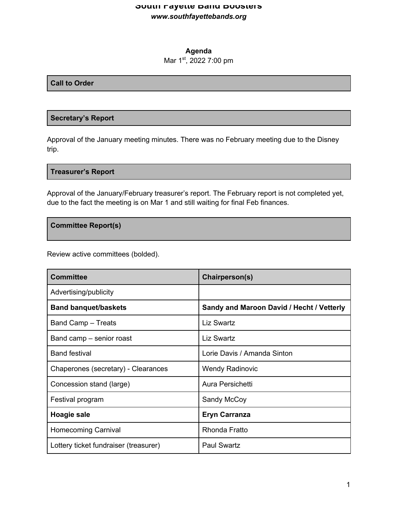## **South Fayette Band Boosters** *www.southfayettebands.org*

#### **Agenda**

# Mar 1st, 2022 7:00 pm

#### **Call to Order**

#### **Secretary's Report**

Approval of the January meeting minutes. There was no February meeting due to the Disney trip.

#### **Treasurer's Report**

Approval of the January/February treasurer's report. The February report is not completed yet, due to the fact the meeting is on Mar 1 and still waiting for final Feb finances.

**Committee Report(s)**

Review active committees (bolded).

| <b>Committee</b>                      | Chairperson(s)                            |
|---------------------------------------|-------------------------------------------|
| Advertising/publicity                 |                                           |
| <b>Band banquet/baskets</b>           | Sandy and Maroon David / Hecht / Vetterly |
| <b>Band Camp – Treats</b>             | <b>Liz Swartz</b>                         |
| Band camp – senior roast              | Liz Swartz                                |
| <b>Band festival</b>                  | Lorie Davis / Amanda Sinton               |
| Chaperones (secretary) - Clearances   | <b>Wendy Radinovic</b>                    |
| Concession stand (large)              | Aura Persichetti                          |
| Festival program                      | Sandy McCoy                               |
| Hoagie sale                           | <b>Eryn Carranza</b>                      |
| <b>Homecoming Carnival</b>            | Rhonda Fratto                             |
| Lottery ticket fundraiser (treasurer) | <b>Paul Swartz</b>                        |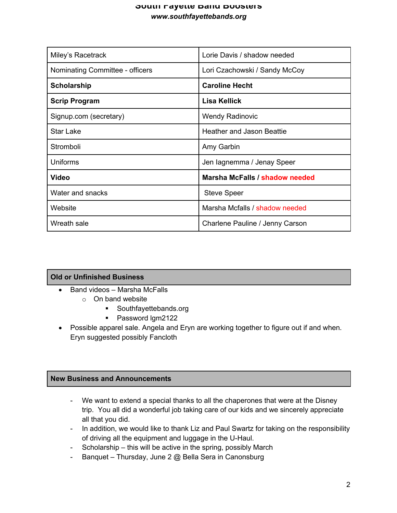#### **South Fayette Band Boosters** *www.southfayettebands.org*

| Miley's Racetrack               | Lorie Davis / shadow needed     |
|---------------------------------|---------------------------------|
| Nominating Committee - officers | Lori Czachowski / Sandy McCoy   |
| <b>Scholarship</b>              | <b>Caroline Hecht</b>           |
| <b>Scrip Program</b>            | <b>Lisa Kellick</b>             |
| Signup.com (secretary)          | <b>Wendy Radinovic</b>          |
| <b>Star Lake</b>                | Heather and Jason Beattie       |
| Stromboli                       | Amy Garbin                      |
| Uniforms                        | Jen lagnemma / Jenay Speer      |
| <b>Video</b>                    | Marsha McFalls / shadow needed  |
| Water and snacks                | <b>Steve Speer</b>              |
| Website                         | Marsha Mcfalls / shadow needed  |
| Wreath sale                     | Charlene Pauline / Jenny Carson |

## **Old or Unfinished Business**

- Band videos Marsha McFalls
	- o On band website
		- Southfayettebands.org
		- Password lgm2122
- Possible apparel sale. Angela and Eryn are working together to figure out if and when. Eryn suggested possibly Fancloth

## **New Business and Announcements**

- We want to extend a special thanks to all the chaperones that were at the Disney trip. You all did a wonderful job taking care of our kids and we sincerely appreciate all that you did.
- In addition, we would like to thank Liz and Paul Swartz for taking on the responsibility of driving all the equipment and luggage in the U-Haul.
- Scholarship this will be active in the spring, possibly March
- Banquet Thursday, June 2 @ Bella Sera in Canonsburg